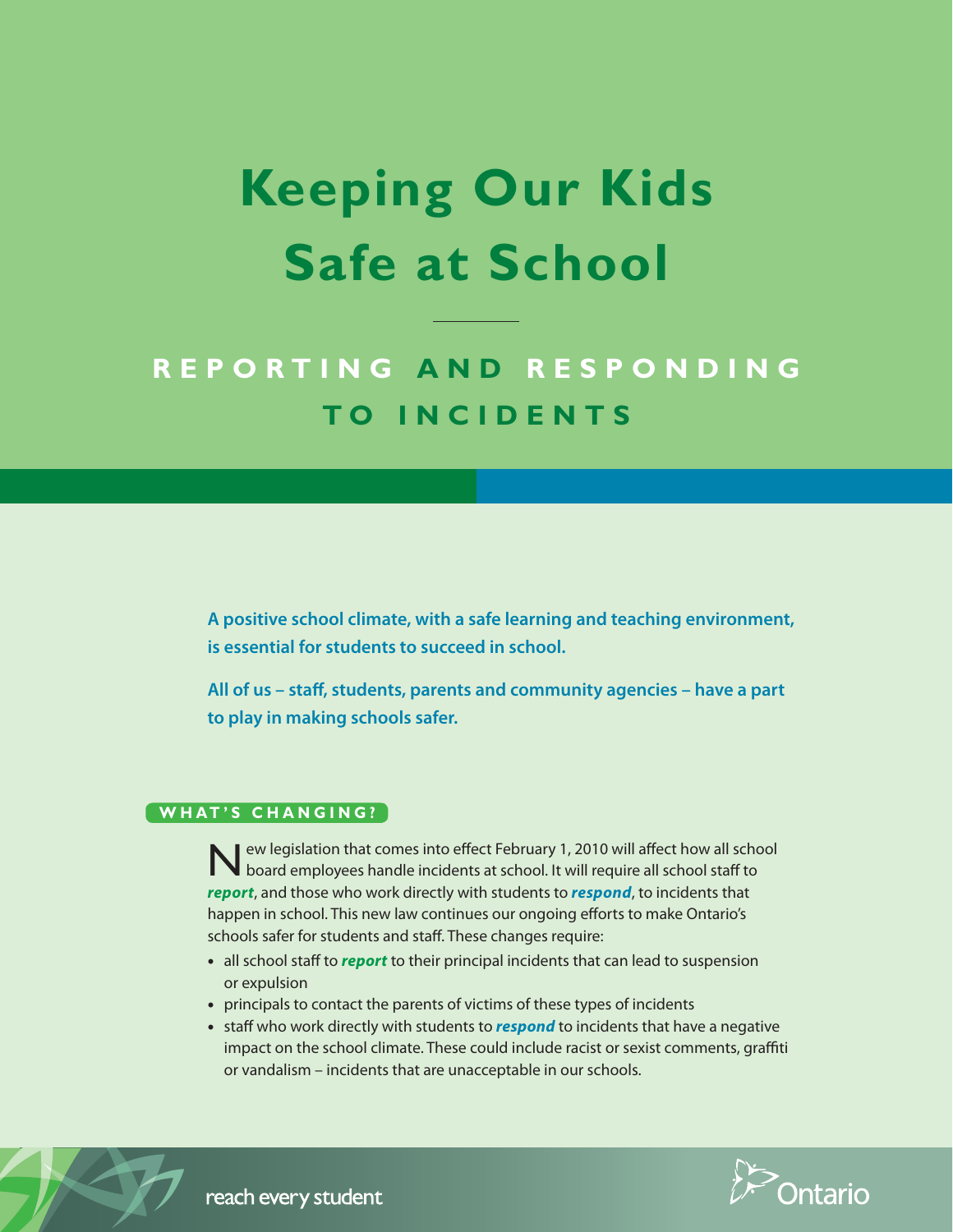# **Keeping Our Kids Safe at School**

# **R e p or t i n g a n d R e s p o n d i n g t o I n c i d e n t s**

**A positive school climate, with a safe learning and teaching environment, is essential for students to succeed in school.**

**All of us – staff, students, parents and community agencies – have a part to play in making schools safer.**

# **WHAT'S CHANGING?**

New legislation that comes into effect February 1, 2010 will affect how all school board employees handle incidents at school. It will require all school staff to *report*, and those who work directly with students to *respond*, to incidents that happen in school. This new law continues our ongoing efforts to make Ontario's schools safer for students and staff. These changes require:

- all school staff to *report* to their principal incidents that can lead to suspension or expulsion
- principals to contact the parents of victims of these types of incidents
- staff who work directly with students to *respond* to incidents that have a negative impact on the school climate. These could include racist or sexist comments, graffiti or vandalism – incidents that are unacceptable in our schools.



reach every student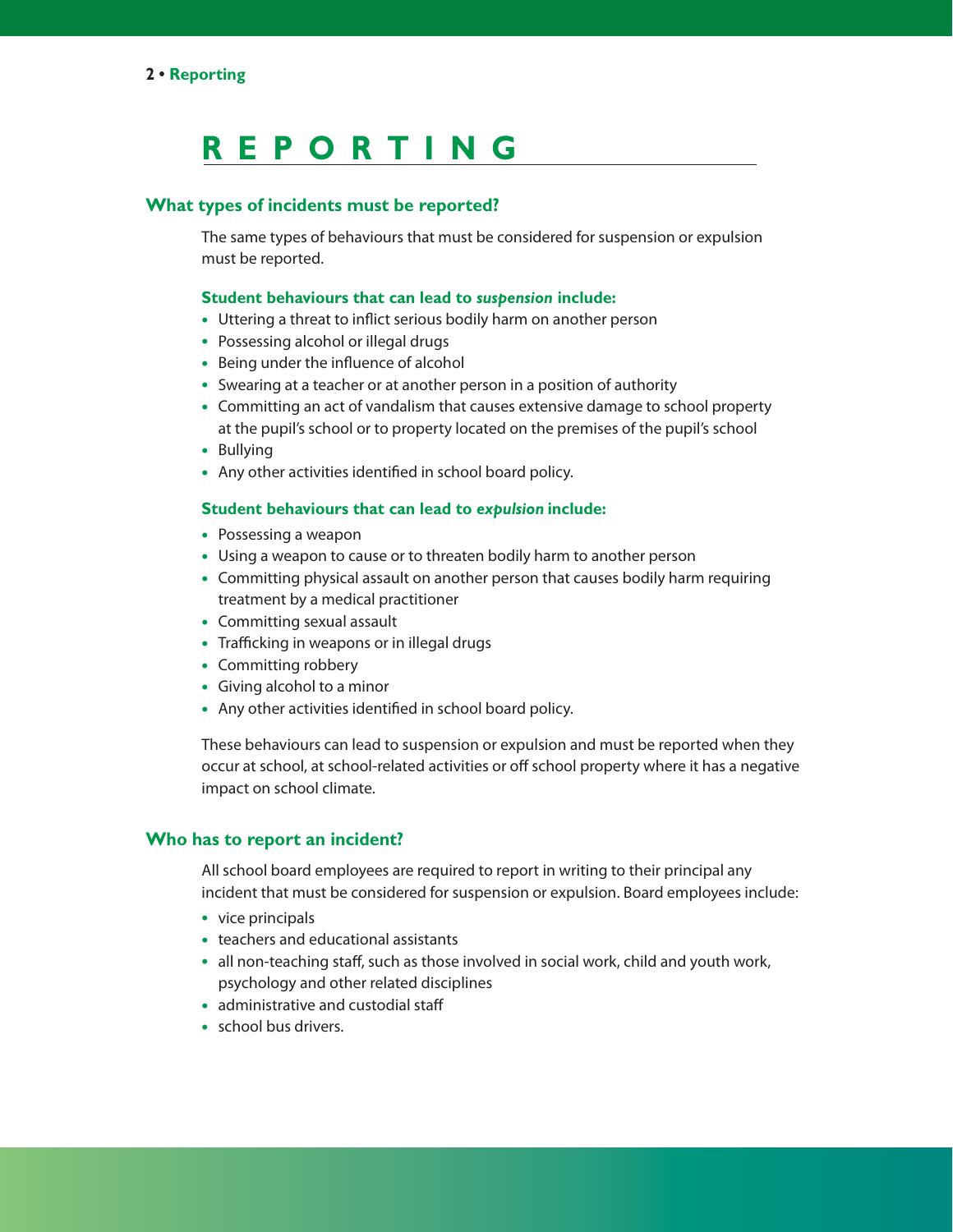# **R EP O R TING**

# **What types of incidents must be reported?**

The same types of behaviours that must be considered for suspension or expulsion must be reported.

#### **Student behaviours that can lead to** *suspension* **include:**

- Uttering a threat to inflict serious bodily harm on another person
- Possessing alcohol or illegal drugs
- Being under the influence of alcohol
- Swearing at a teacher or at another person in a position of authority
- Committing an act of vandalism that causes extensive damage to school property at the pupil's school or to property located on the premises of the pupil's school
- Bullying
- Any other activities identified in school board policy.

### **Student behaviours that can lead to** *expulsion* **include:**

- Possessing a weapon
- Using a weapon to cause or to threaten bodily harm to another person
- Committing physical assault on another person that causes bodily harm requiring treatment by a medical practitioner
- Committing sexual assault
- Trafficking in weapons or in illegal drugs
- Committing robbery
- Giving alcohol to a minor
- Any other activities identified in school board policy.

These behaviours can lead to suspension or expulsion and must be reported when they occur at school, at school-related activities or off school property where it has a negative impact on school climate.

# **Who has to report an incident?**

All school board employees are required to report in writing to their principal any incident that must be considered for suspension or expulsion. Board employees include:

- vice principals
- teachers and educational assistants
- all non-teaching staff, such as those involved in social work, child and youth work, psychology and other related disciplines
- administrative and custodial staff
- school bus drivers.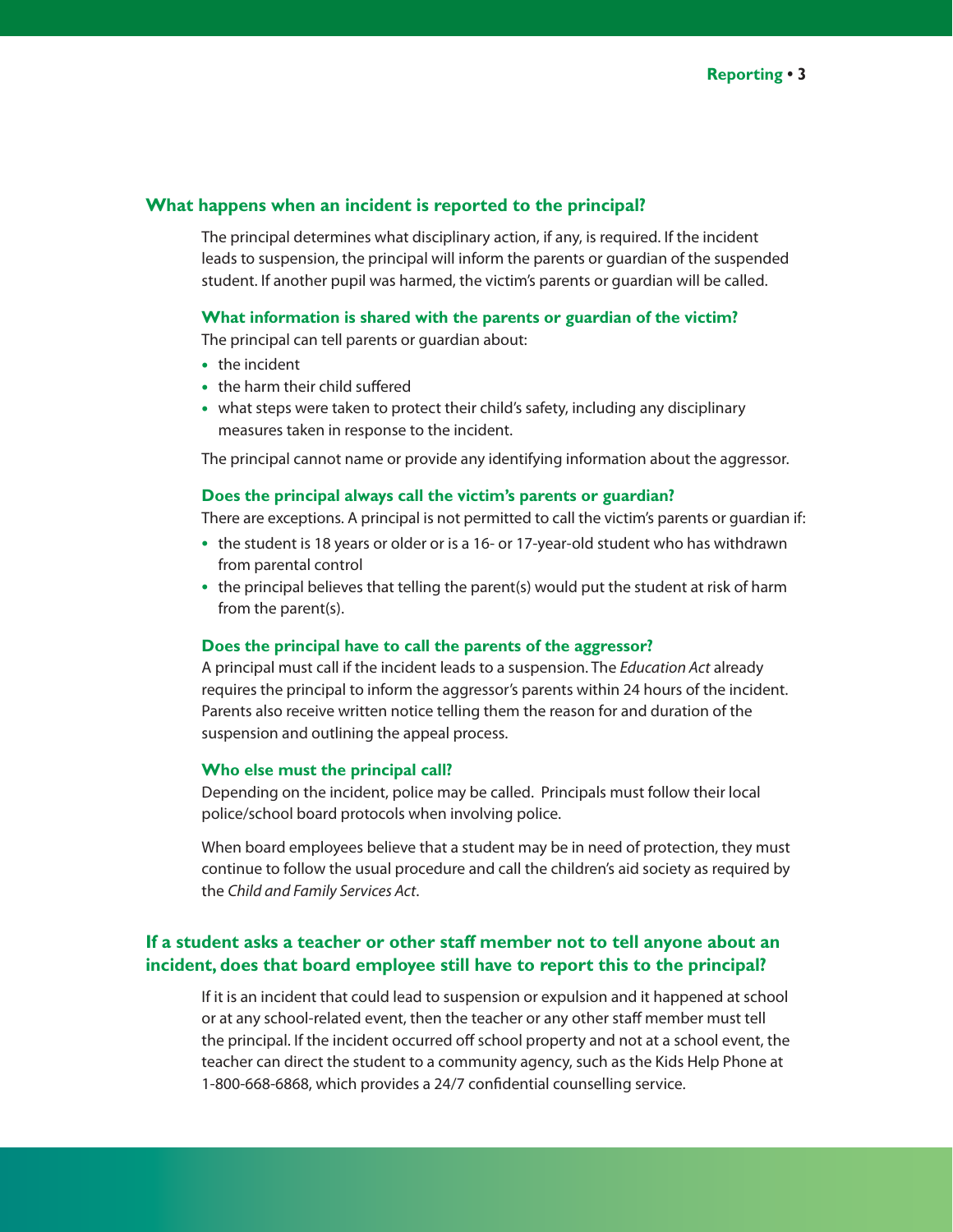# **What happens when an incident is reported to the principal?**

The principal determines what disciplinary action, if any, is required. If the incident leads to suspension, the principal will inform the parents or guardian of the suspended student. If another pupil was harmed, the victim's parents or guardian will be called.

#### **What information is shared with the parents or guardian of the victim?**

The principal can tell parents or guardian about:

- the incident
- the harm their child suffered
- what steps were taken to protect their child's safety, including any disciplinary measures taken in response to the incident.

The principal cannot name or provide any identifying information about the aggressor.

#### **Does the principal always call the victim's parents or guardian?**

There are exceptions. A principal is not permitted to call the victim's parents or guardian if:

- the student is 18 years or older or is a 16- or 17-year-old student who has withdrawn from parental control
- the principal believes that telling the parent(s) would put the student at risk of harm from the parent(s).

#### **Does the principal have to call the parents of the aggressor?**

A principal must call if the incident leads to a suspension. The *Education Act* already requires the principal to inform the aggressor's parents within 24 hours of the incident. Parents also receive written notice telling them the reason for and duration of the suspension and outlining the appeal process.

#### **Who else must the principal call?**

Depending on the incident, police may be called. Principals must follow their local police/school board protocols when involving police.

When board employees believe that a student may be in need of protection, they must continue to follow the usual procedure and call the children's aid society as required by the *Child and Family Services Act*.

# **If a student asks a teacher or other staff member not to tell anyone about an incident, does that board employee still have to report this to the principal?**

If it is an incident that could lead to suspension or expulsion and it happened at school or at any school-related event, then the teacher or any other staff member must tell the principal. If the incident occurred off school property and not at a school event, the teacher can direct the student to a community agency, such as the Kids Help Phone at 1-800-668-6868, which provides a 24/7 confidential counselling service.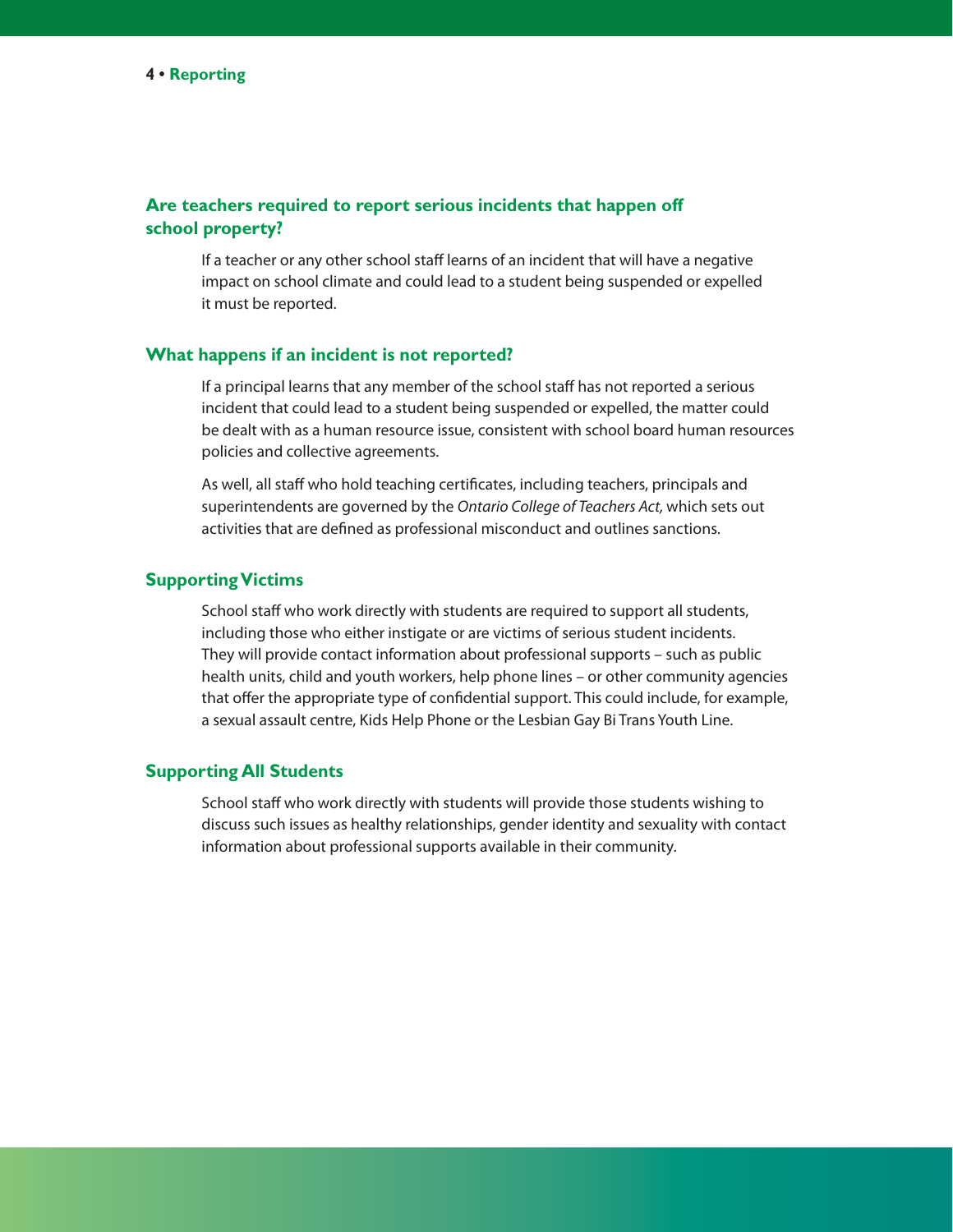# **Are teachers required to report serious incidents that happen off school property?**

If a teacher or any other school staff learns of an incident that will have a negative impact on school climate and could lead to a student being suspended or expelled it must be reported.

# **What happens if an incident is not reported?**

If a principal learns that any member of the school staff has not reported a serious incident that could lead to a student being suspended or expelled, the matter could be dealt with as a human resource issue, consistent with school board human resources policies and collective agreements.

As well, all staff who hold teaching certificates, including teachers, principals and superintendents are governed by the *Ontario College of Teachers Act,* which sets out activities that are defined as professional misconduct and outlines sanctions.

### **Supporting Victims**

School staff who work directly with students are required to support all students, including those who either instigate or are victims of serious student incidents. They will provide contact information about professional supports – such as public health units, child and youth workers, help phone lines – or other community agencies that offer the appropriate type of confidential support. This could include, for example, a sexual assault centre, Kids Help Phone or the Lesbian Gay Bi Trans Youth Line.

# **Supporting All Students**

School staff who work directly with students will provide those students wishing to discuss such issues as healthy relationships, gender identity and sexuality with contact information about professional supports available in their community.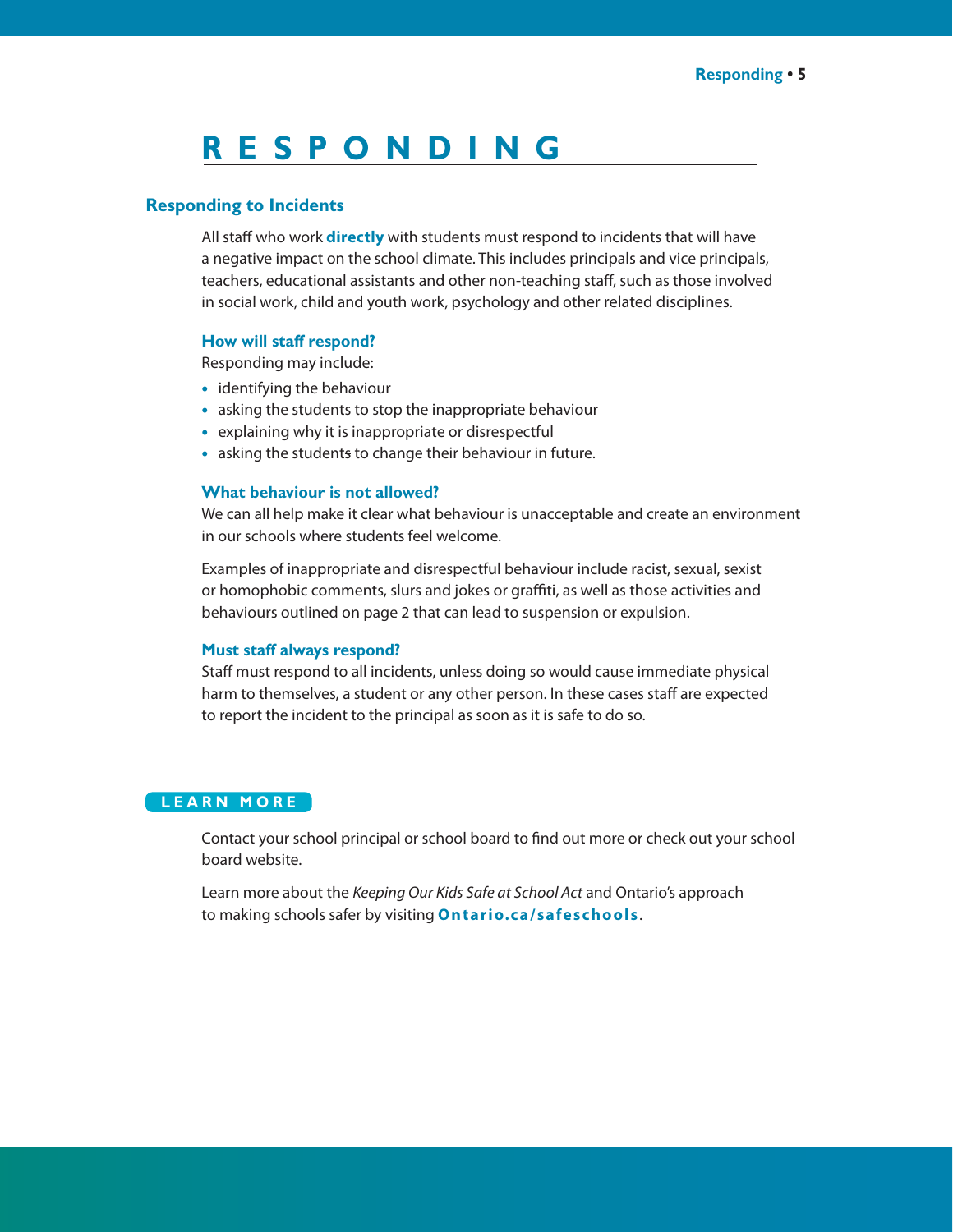# **R E S P O NDING**

# **Responding to Incidents**

All staff who work **directly** with students must respond to incidents that will have a negative impact on the school climate. This includes principals and vice principals, teachers, educational assistants and other non-teaching staff, such as those involved in social work, child and youth work, psychology and other related disciplines.

#### **How will staff respond?**

Responding may include:

- identifying the behaviour
- asking the students to stop the inappropriate behaviour
- explaining why it is inappropriate or disrespectful
- asking the students to change their behaviour in future.

#### **What behaviour is not allowed?**

We can all help make it clear what behaviour is unacceptable and create an environment in our schools where students feel welcome.

Examples of inappropriate and disrespectful behaviour include racist, sexual, sexist or homophobic comments, slurs and jokes or graffiti, as well as those activities and behaviours outlined on page 2 that can lead to suspension or expulsion.

# **Must staff always respond?**

Staff must respond to all incidents, unless doing so would cause immediate physical harm to themselves, a student or any other person. In these cases staff are expected to report the incident to the principal as soon as it is safe to do so.

# **L e a r n M or e**

Contact your school principal or school board to find out more or check out your school board website.

Learn more about the *Keeping Our Kids Safe at School Act* and Ontario's approach to making schools safer by visiting **O ntario.c a/safescho ols**.